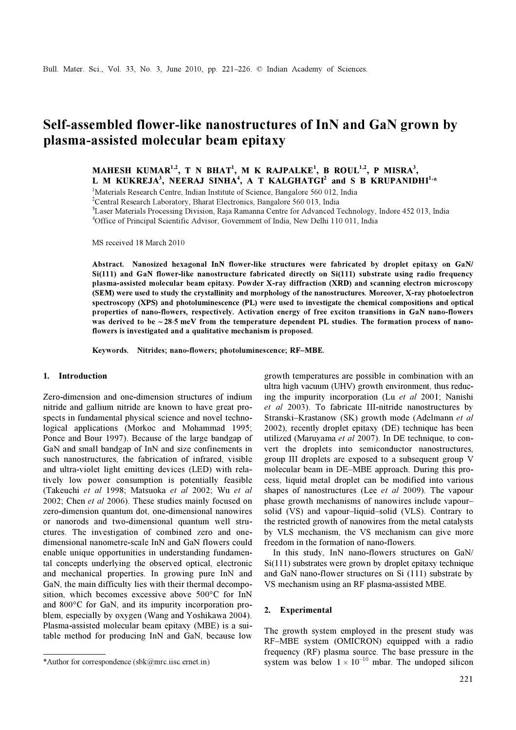# Self-assembled flower-like nanostructures of InN and GaN grown by plasma-assisted molecular beam epitaxy

MAHESH KUMAR<sup>1,2</sup>, T N BHAT<sup>1</sup>, M K RAJPALKE<sup>1</sup>, B ROUL<sup>1,2</sup>, P MISRA<sup>3</sup>, L M KUKREJA<sup>3</sup>, NEERAJ SINHA<sup>4</sup>, A T KALGHATGI<sup>2</sup> and S B KRUPANIDHI<sup>1,\*</sup>

<sup>1</sup>Materials Research Centre, Indian Institute of Science, Bangalore 560 012, India

<sup>2</sup>Central Research Laboratory, Bharat Electronics, Bangalore 560 013, India

3 Laser Materials Processing Division, Raja Ramanna Centre for Advanced Technology, Indore 452 013, India <sup>4</sup>Office of Principal Scientific Advisor, Government of India, New Delhi 110 011, India

MS received 18 March 2010

Abstract. Nanosized hexagonal InN flower-like structures were fabricated by droplet epitaxy on GaN/ Si(111) and GaN flower-like nanostructure fabricated directly on Si(111) substrate using radio frequency plasma-assisted molecular beam epitaxy. Powder X-ray diffraction (XRD) and scanning electron microscopy (SEM) were used to study the crystallinity and morphology of the nanostructures. Moreover, X-ray photoelectron spectroscopy (XPS) and photoluminescence (PL) were used to investigate the chemical compositions and optical properties of nano-flowers, respectively. Activation energy of free exciton transitions in GaN nano-flowers was derived to be ~28⋅5 meV from the temperature dependent PL studies. The formation process of nanoflowers is investigated and a qualitative mechanism is proposed.

Keywords. Nitrides; nano-flowers; photoluminescence; RF–MBE.

### 1. Introduction

Zero-dimension and one-dimension structures of indium nitride and gallium nitride are known to have great prospects in fundamental physical science and novel technological applications (Morkoc and Mohammad 1995; Ponce and Bour 1997). Because of the large bandgap of GaN and small bandgap of InN and size confinements in such nanostructures, the fabrication of infrared, visible and ultra-violet light emitting devices (LED) with relatively low power consumption is potentially feasible (Takeuchi et al 1998; Matsuoka et al 2002; Wu et al 2002; Chen et al 2006). These studies mainly focused on zero-dimension quantum dot, one-dimensional nanowires or nanorods and two-dimensional quantum well structures. The investigation of combined zero and onedimensional nanometre-scale InN and GaN flowers could enable unique opportunities in understanding fundamental concepts underlying the observed optical, electronic and mechanical properties. In growing pure InN and GaN, the main difficulty lies with their thermal decomposition, which becomes excessive above 500°C for InN and 800°C for GaN, and its impurity incorporation problem, especially by oxygen (Wang and Yoshikawa 2004). Plasma-assisted molecular beam epitaxy (MBE) is a suitable method for producing InN and GaN, because low

growth temperatures are possible in combination with an ultra high vacuum (UHV) growth environment, thus reducing the impurity incorporation (Lu et al 2001; Nanishi et al 2003). To fabricate III-nitride nanostructures by Stranski–Krastanow (SK) growth mode (Adelmann et al 2002), recently droplet epitaxy (DE) technique has been utilized (Maruyama et al 2007). In DE technique, to convert the droplets into semiconductor nanostructures, group III droplets are exposed to a subsequent group V molecular beam in DE–MBE approach. During this process, liquid metal droplet can be modified into various shapes of nanostructures (Lee et al 2009). The vapour phase growth mechanisms of nanowires include vapour– solid (VS) and vapour–liquid–solid (VLS). Contrary to the restricted growth of nanowires from the metal catalysts by VLS mechanism, the VS mechanism can give more freedom in the formation of nano-flowers.

 In this study, InN nano-flowers structures on GaN/ Si(111) substrates were grown by droplet epitaxy technique and GaN nano-flower structures on Si (111) substrate by VS mechanism using an RF plasma-assisted MBE.

# 2. Experimental

The growth system employed in the present study was RF–MBE system (OMICRON) equipped with a radio frequency (RF) plasma source. The base pressure in the \*Author for correspondence (sbk@mrc.iisc.ernet.in) system was below  $1 \times 10^{-10}$  mbar. The undoped silicon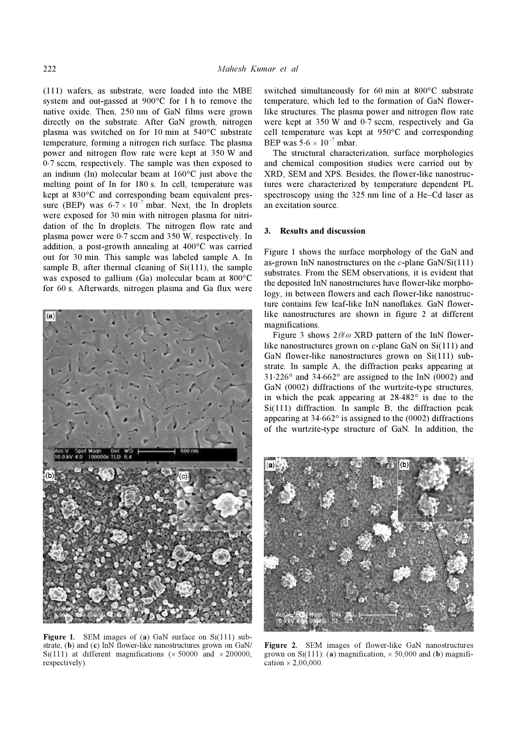(111) wafers, as substrate, were loaded into the MBE system and out-gassed at 900°C for 1 h to remove the native oxide. Then, 250 nm of GaN films were grown directly on the substrate. After GaN growth, nitrogen plasma was switched on for 10 min at 540°C substrate temperature, forming a nitrogen rich surface. The plasma power and nitrogen flow rate were kept at 350 W and 0⋅7 sccm, respectively. The sample was then exposed to an indium (In) molecular beam at 160°C just above the melting point of In for 180 s. In cell, temperature was kept at 830°C and corresponding beam equivalent pressure (BEP) was  $6.7 \times 10^{-7}$  mbar. Next, the In droplets were exposed for 30 min with nitrogen plasma for nitridation of the In droplets. The nitrogen flow rate and plasma power were 0⋅7 sccm and 350 W, respectively. In addition, a post-growth annealing at 400°C was carried out for 30 min. This sample was labeled sample A. In sample B, after thermal cleaning of  $Si(111)$ , the sample was exposed to gallium (Ga) molecular beam at 800°C for 60 s. Afterwards, nitrogen plasma and Ga flux were



Figure 1. SEM images of (a) GaN surface on Si(111) substrate, (b) and (c) InN flower-like nanostructures grown on GaN/ Si(111) at different magnifications ( $\times$  50000 and  $\times$  200000, respectively).

switched simultaneously for 60 min at 800°C substrate temperature, which led to the formation of GaN flowerlike structures. The plasma power and nitrogen flow rate were kept at 350 W and 0⋅7 sccm, respectively and Ga cell temperature was kept at 950°C and corresponding BEP was  $5.6 \times 10^{-7}$  mbar.

 The structural characterization, surface morphologies and chemical composition studies were carried out by XRD, SEM and XPS. Besides, the flower-like nanostructures were characterized by temperature dependent PL spectroscopy using the 325 nm line of a He–Cd laser as an excitation source.

### 3. Results and discussion

Figure 1 shows the surface morphology of the GaN and as-grown InN nanostructures on the  $c$ -plane GaN/Si(111) substrates. From the SEM observations, it is evident that the deposited InN nanostructures have flower-like morphology, in between flowers and each flower-like nanostructure contains few leaf-like InN nanoflakes. GaN flowerlike nanostructures are shown in figure 2 at different magnifications.

Figure 3 shows  $2\theta/\omega$  XRD pattern of the InN flowerlike nanostructures grown on  $c$ -plane GaN on Si(111) and GaN flower-like nanostructures grown on Si(111) substrate. In sample A, the diffraction peaks appearing at 31⋅226° and 34⋅662° are assigned to the InN (0002) and GaN (0002) diffractions of the wurtzite-type structures, in which the peak appearing at 28⋅482° is due to the Si(111) diffraction. In sample B, the diffraction peak appearing at 34⋅662° is assigned to the (0002) diffractions of the wurtzite-type structure of GaN. In addition, the



Figure 2. SEM images of flower-like GaN nanostructures grown on Si(111): (a) magnification,  $\times$  50,000 and (b) magnification  $\times$  2,00,000.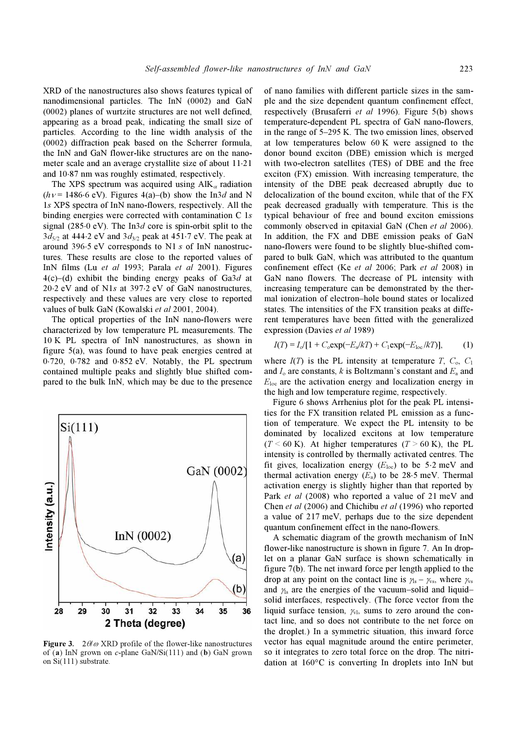XRD of the nanostructures also shows features typical of nanodimensional particles. The InN (0002) and GaN (0002) planes of wurtzite structures are not well defined, appearing as a broad peak, indicating the small size of particles. According to the line width analysis of the (0002) diffraction peak based on the Scherrer formula, the InN and GaN flower-like structures are on the nanometer scale and an average crystallite size of about 11⋅21 and 10⋅87 nm was roughly estimated, respectively.

The XPS spectrum was acquired using  $\text{AlK}_{\alpha}$  radiation  $(hv = 1486.6 \text{ eV})$ . Figures 4(a)–(b) show the In3d and N 1s XPS spectra of InN nano-flowers, respectively. All the binding energies were corrected with contamination C 1s signal (285⋅0 eV). The In3d core is spin-orbit split to the  $3d_{5/2}$  at 444⋅2 eV and  $3d_{3/2}$  peak at 451⋅7 eV. The peak at around 396⋅5 eV corresponds to N1 s of InN nanostructures. These results are close to the reported values of InN films (Lu et al 1993; Parala et al 2001). Figures  $4(c)$ –(d) exhibit the binding energy peaks of Ga3d at 20⋅2 eV and of N1s at 397⋅2 eV of GaN nanostructures, respectively and these values are very close to reported values of bulk GaN (Kowalski et al 2001, 2004).

 The optical properties of the InN nano-flowers were characterized by low temperature PL measurements. The 10 K PL spectra of InN nanostructures, as shown in figure 5(a), was found to have peak energies centred at 0⋅720, 0⋅782 and 0⋅852 eV. Notably, the PL spectrum contained multiple peaks and slightly blue shifted compared to the bulk InN, which may be due to the presence



Figure 3.  $2\theta/\omega$  XRD profile of the flower-like nanostructures of (a) InN grown on c-plane GaN/Si(111) and (b) GaN grown on Si(111) substrate.

of nano families with different particle sizes in the sample and the size dependent quantum confinement effect, respectively (Brusaferri et al 1996). Figure 5(b) shows temperature-dependent PL spectra of GaN nano-flowers, in the range of 5–295 K. The two emission lines, observed at low temperatures below 60 K were assigned to the donor bound exciton (DBE) emission which is merged with two-electron satellites (TES) of DBE and the free exciton (FX) emission. With increasing temperature, the intensity of the DBE peak decreased abruptly due to delocalization of the bound exciton, while that of the FX peak decreased gradually with temperature. This is the typical behaviour of free and bound exciton emissions commonly observed in epitaxial GaN (Chen et al 2006). In addition, the FX and DBE emission peaks of GaN nano-flowers were found to be slightly blue-shifted compared to bulk GaN, which was attributed to the quantum confinement effect (Ke et al 2006; Park et al 2008) in GaN nano flowers. The decrease of PL intensity with increasing temperature can be demonstrated by the thermal ionization of electron–hole bound states or localized states. The intensities of the FX transition peaks at different temperatures have been fitted with the generalized expression (Davies et al 1989)

$$
I(T) = I_o/[1 + C_o \exp(-E_a/kT) + C_1 \exp(-E_{loc}/kT)],
$$
 (1)

where  $I(T)$  is the PL intensity at temperature T,  $C_0$ ,  $C_1$ and  $I_0$  are constants, k is Boltzmann's constant and  $E_a$  and  $E<sub>loc</sub>$  are the activation energy and localization energy in the high and low temperature regime, respectively.

 Figure 6 shows Arrhenius plot for the peak PL intensities for the FX transition related PL emission as a function of temperature. We expect the PL intensity to be dominated by localized excitons at low temperature  $(T \le 60 \text{ K})$ . At higher temperatures  $(T \ge 60 \text{ K})$ , the PL intensity is controlled by thermally activated centres. The fit gives, localization energy ( $E_{\text{loc}}$ ) to be 5⋅2 meV and thermal activation energy  $(E_a)$  to be 28⋅5 meV. Thermal activation energy is slightly higher than that reported by Park et al (2008) who reported a value of 21 meV and Chen et al (2006) and Chichibu et al (1996) who reported a value of 217 meV, perhaps due to the size dependent quantum confinement effect in the nano-flowers.

 A schematic diagram of the growth mechanism of InN flower-like nanostructure is shown in figure 7. An In droplet on a planar GaN surface is shown schematically in figure 7(b). The net inward force per length applied to the drop at any point on the contact line is  $\gamma_{\text{ls}} - \gamma_{\text{vs}}$ , where  $\gamma_{\text{vs}}$ and  $\gamma_{\rm s}$  are the energies of the vacuum–solid and liquid– solid interfaces, respectively. (The force vector from the liquid surface tension,  $\chi_{v}$ , sums to zero around the contact line, and so does not contribute to the net force on the droplet.) In a symmetric situation, this inward force vector has equal magnitude around the entire perimeter, so it integrates to zero total force on the drop. The nitridation at 160°C is converting In droplets into InN but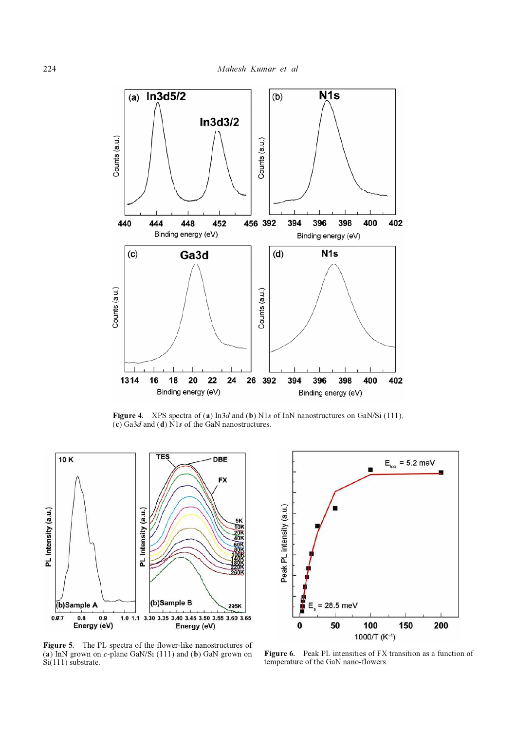

Figure 4. XPS spectra of (a) In3d and (b) N1s of InN nanostructures on GaN/Si (111),  $(c)$  Ga3d and (d) N1s of the GaN nanostructures.



 $E_{\text{loc}} = 5.2 \text{ meV}$ Peak PL intensity (a.u.)  $= 28.5$  meV E 50 100 200  $\bf{0}$ 150 1000/T ( $K^{-1}$ )

Figure 5. The PL spectra of the flower-like nanostructures of (a) InN grown on  $c$ -plane GaN/Si (111) and (b) GaN grown on  $Si(111)$  substrate.

Figure 6. Peak PL intensities of FX transition as a function of temperature of the GaN nano-flowers.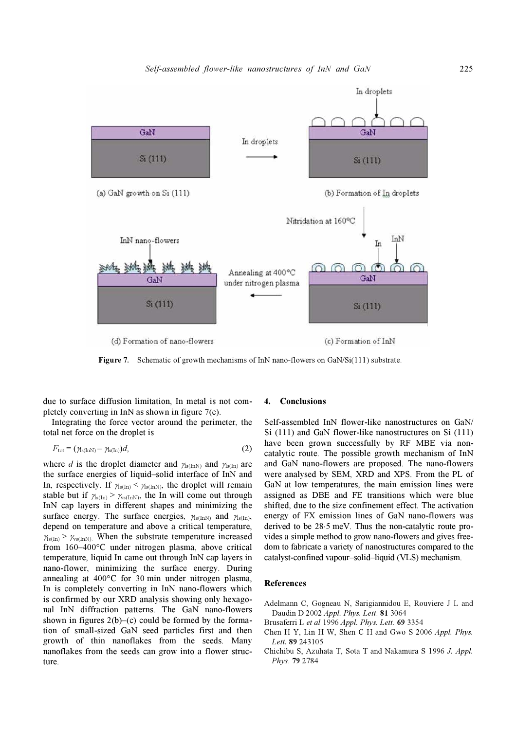

Figure 7. Schematic of growth mechanisms of InN nano-flowers on GaN/Si(111) substrate.

due to surface diffusion limitation, In metal is not completely converting in InN as shown in figure 7(c).

 Integrating the force vector around the perimeter, the total net force on the droplet is

$$
F_{\text{tot}} = (\gamma_{\text{ls}(\text{InN})} - \gamma_{\text{ls}(\text{In})})d, \tag{2}
$$

where d is the droplet diameter and  $\gamma_{s(\text{In}N)}$  and  $\gamma_{s(\text{In})}$  are the surface energies of liquid–solid interface of InN and In, respectively. If  $\gamma_{s(Im)} < \gamma_{s(ImN)}$ , the droplet will remain stable but if  $\gamma_{s(In)} > \gamma_{s(InN)}$ , the In will come out through InN cap layers in different shapes and minimizing the surface energy. The surface energies,  $\gamma_{s(InN)}$  and  $\gamma_{s(In)},$ depend on temperature and above a critical temperature,  $\gamma_{\rm ss(In)} > \gamma_{\rm ss(InN)}$ . When the substrate temperature increased from 160–400°C under nitrogen plasma, above critical temperature, liquid In came out through InN cap layers in nano-flower, minimizing the surface energy. During annealing at 400°C for 30 min under nitrogen plasma, In is completely converting in InN nano-flowers which is confirmed by our XRD analysis showing only hexagonal InN diffraction patterns. The GaN nano-flowers shown in figures  $2(b)$ –(c) could be formed by the formation of small-sized GaN seed particles first and then growth of thin nanoflakes from the seeds. Many nanoflakes from the seeds can grow into a flower structure.

#### 4. Conclusions

Self-assembled InN flower-like nanostructures on GaN/ Si (111) and GaN flower-like nanostructures on Si (111) have been grown successfully by RF MBE via noncatalytic route. The possible growth mechanism of InN and GaN nano-flowers are proposed. The nano-flowers were analysed by SEM, XRD and XPS. From the PL of GaN at low temperatures, the main emission lines were assigned as DBE and FE transitions which were blue shifted, due to the size confinement effect. The activation energy of FX emission lines of GaN nano-flowers was derived to be 28⋅5 meV. Thus the non-catalytic route provides a simple method to grow nano-flowers and gives freedom to fabricate a variety of nanostructures compared to the catalyst-confined vapour–solid–liquid (VLS) mechanism.

# References

Adelmann C, Gogneau N, Sarigiannidou E, Rouviere J L and Daudin D 2002 Appl. Phys. Lett. 81 3064

- Brusaferri L et al 1996 Appl. Phys. Lett. 69 3354
- Chen H Y, Lin H W, Shen C H and Gwo S 2006 Appl. Phys. Lett. 89 243105
- Chichibu S, Azuhata T, Sota T and Nakamura S 1996 J. Appl. Phys. 79 2784